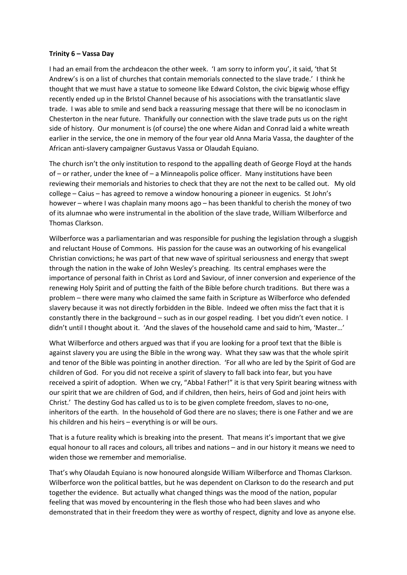## **Trinity 6 – Vassa Day**

I had an email from the archdeacon the other week. 'I am sorry to inform you', it said, 'that St Andrew's is on a list of churches that contain memorials connected to the slave trade.' I think he thought that we must have a statue to someone like Edward Colston, the civic bigwig whose effigy recently ended up in the BrIstol Channel because of his associations with the transatlantic slave trade. I was able to smile and send back a reassuring message that there will be no iconoclasm in Chesterton in the near future. Thankfully our connection with the slave trade puts us on the right side of history. Our monument is (of course) the one where Aidan and Conrad laid a white wreath earlier in the service, the one in memory of the four year old Anna Maria Vassa, the daughter of the African anti-slavery campaigner Gustavus Vassa or Olaudah Equiano.

The church isn't the only institution to respond to the appalling death of George Floyd at the hands of – or rather, under the knee of – a Minneapolis police officer. Many institutions have been reviewing their memorials and histories to check that they are not the next to be called out. My old college – Caius – has agreed to remove a window honouring a pioneer in eugenics. St John's however – where I was chaplain many moons ago – has been thankful to cherish the money of two of its alumnae who were instrumental in the abolition of the slave trade, William Wilberforce and Thomas Clarkson.

Wilberforce was a parliamentarian and was responsible for pushing the legislation through a sluggish and reluctant House of Commons. His passion for the cause was an outworking of his evangelical Christian convictions; he was part of that new wave of spiritual seriousness and energy that swept through the nation in the wake of John Wesley's preaching. Its central emphases were the importance of personal faith in Christ as Lord and Saviour, of inner conversion and experience of the renewing Holy Spirit and of putting the faith of the Bible before church traditions. But there was a problem – there were many who claimed the same faith in Scripture as Wilberforce who defended slavery because it was not directly forbidden in the Bible. Indeed we often miss the fact that it is constantly there in the background – such as in our gospel reading. I bet you didn't even notice. I didn't until I thought about it. 'And the slaves of the household came and said to him, 'Master…'

What Wilberforce and others argued was that if you are looking for a proof text that the Bible is against slavery you are using the Bible in the wrong way. What they saw was that the whole spirit and tenor of the Bible was pointing in another direction. 'For all who are led by the Spirit of God are children of God. For you did not receive a spirit of slavery to fall back into fear, but you have received a spirit of adoption. When we cry, "Abba! Father!" it is that very Spirit bearing witness with our spirit that we are children of God, and if children, then heirs, heirs of God and joint heirs with Christ.' The destiny God has called us to is to be given complete freedom, slaves to no-one, inheritors of the earth. In the household of God there are no slaves; there is one Father and we are his children and his heirs – everything is or will be ours.

That is a future reality which is breaking into the present. That means it's important that we give equal honour to all races and colours, all tribes and nations – and in our history it means we need to widen those we remember and memorialise.

That's why Olaudah Equiano is now honoured alongside William Wilberforce and Thomas Clarkson. Wilberforce won the political battles, but he was dependent on Clarkson to do the research and put together the evidence. But actually what changed things was the mood of the nation, popular feeling that was moved by encountering in the flesh those who had been slaves and who demonstrated that in their freedom they were as worthy of respect, dignity and love as anyone else.